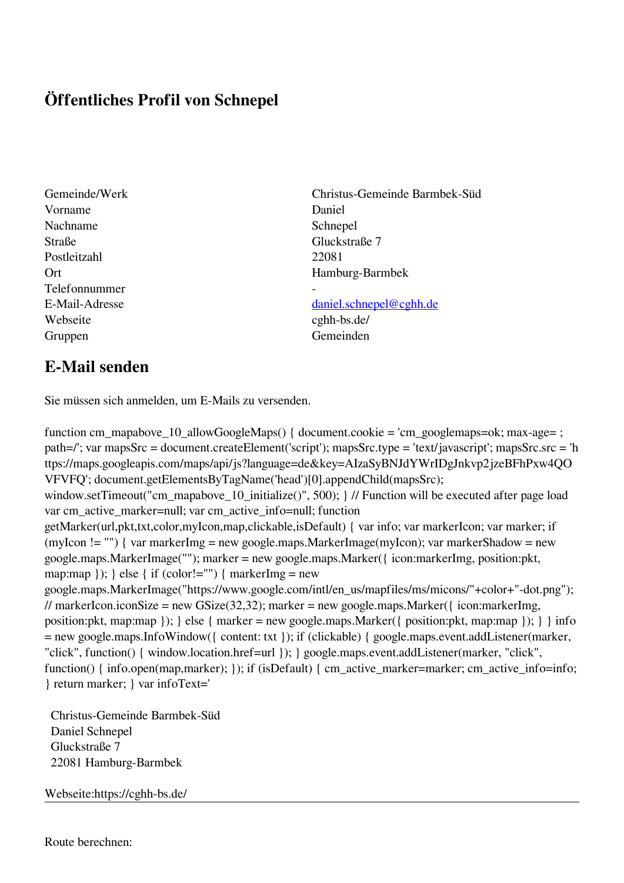## **Öffentliches Profil von Schnepel**

- Vorname Daniel Nachname Schnepel Straße Gluckstraße 7 Postleitzahl 22081 Telefonnummer - Webseite cghh-bs.de/ Gruppen Gemeinden
- Gemeinde/Werk Christus-Gemeinde Barmbek-Süd Ort Hamburg-Barmbek

## E-Mail-Adresse [daniel.schnepel@cghh.de](mailto:daniel.schnepel@cghh.de)

## **E-Mail senden**

Sie müssen sich anmelden, um E-Mails zu versenden.

function cm\_mapabove\_10\_allowGoogleMaps() { document.cookie = 'cm\_googlemaps=ok; max-age= ; path=/'; var mapsSrc = document.createElement('script'); mapsSrc.type = 'text/javascript'; mapsSrc.src = 'h ttps://maps.googleapis.com/maps/api/js?language=de&key=AIzaSyBNJdYWrIDgJnkvp2jzeBFhPxw4QO VFVFQ'; document.getElementsByTagName('head')[0].appendChild(mapsSrc); window.setTimeout("cm\_mapabove\_10\_initialize()", 500); } // Function will be executed after page load var cm\_active\_marker=null; var cm\_active\_info=null; function getMarker(url,pkt,txt,color,myIcon,map,clickable,isDefault) { var info; var markerIcon; var marker; if (myIcon != "") { var markerImg = new google.maps.MarkerImage(myIcon); var markerShadow = new google.maps.MarkerImage(""); marker = new google.maps.Marker({ icon:markerImg, position:pkt, map:map  $\}$ ;  $\}$  else  $\{$  if (color!="")  $\{$  markerImg = new google.maps.MarkerImage("https://www.google.com/intl/en\_us/mapfiles/ms/micons/"+color+"-dot.png"); // markerIcon.iconSize = new GSize(32,32); marker = new google.maps.Marker({ $i$ con:markerImg, position:pkt, map:map }); } else { marker = new google.maps.Marker({ position:pkt, map:map }); } } info = new google.maps.InfoWindow({ content: txt }); if (clickable) { google.maps.event.addListener(marker, "click", function() { window.location.href=url }); } google.maps.event.addListener(marker, "click", function() { info.open(map,marker); }); if (isDefault) { cm\_active\_marker=marker; cm\_active\_info=info; } return marker; } var infoText='

 Christus-Gemeinde Barmbek-Süd Daniel Schnepel Gluckstraße 7 22081 Hamburg-Barmbek

Webseite:https://cghh-bs.de/